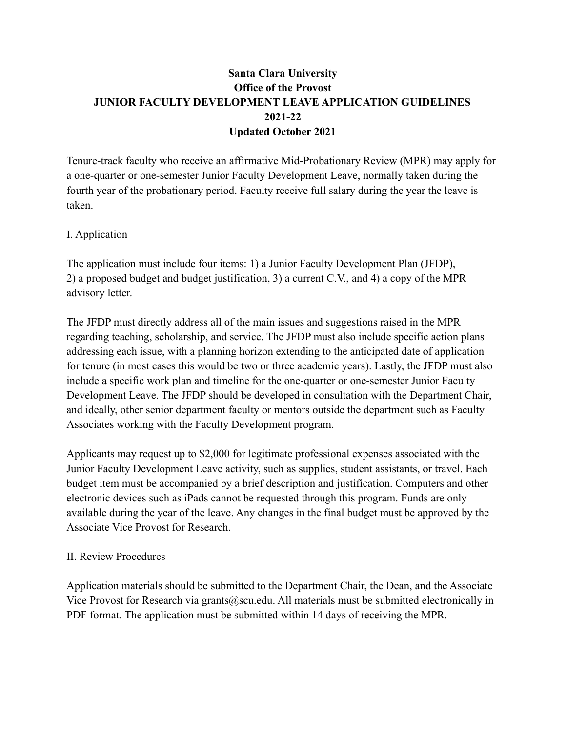# **Santa Clara University Office of the Provost JUNIOR FACULTY DEVELOPMENT LEAVE APPLICATION GUIDELINES 2021-22 Updated October 2021**

Tenure-track faculty who receive an affirmative Mid-Probationary Review (MPR) may apply for a one-quarter or one-semester Junior Faculty Development Leave, normally taken during the fourth year of the probationary period. Faculty receive full salary during the year the leave is taken.

### I. Application

The application must include four items: 1) a Junior Faculty Development Plan (JFDP), 2) a proposed budget and budget justification, 3) a current C.V., and 4) a copy of the MPR advisory letter.

The JFDP must directly address all of the main issues and suggestions raised in the MPR regarding teaching, scholarship, and service. The JFDP must also include specific action plans addressing each issue, with a planning horizon extending to the anticipated date of application for tenure (in most cases this would be two or three academic years). Lastly, the JFDP must also include a specific work plan and timeline for the one-quarter or one-semester Junior Faculty Development Leave. The JFDP should be developed in consultation with the Department Chair, and ideally, other senior department faculty or mentors outside the department such as Faculty Associates working with the Faculty Development program.

Applicants may request up to \$2,000 for legitimate professional expenses associated with the Junior Faculty Development Leave activity, such as supplies, student assistants, or travel. Each budget item must be accompanied by a brief description and justification. Computers and other electronic devices such as iPads cannot be requested through this program. Funds are only available during the year of the leave. Any changes in the final budget must be approved by the Associate Vice Provost for Research.

### II. Review Procedures

Application materials should be submitted to the Department Chair, the Dean, and the Associate Vice Provost for Research via grants@scu.edu. All materials must be submitted electronically in PDF format. The application must be submitted within 14 days of receiving the MPR.